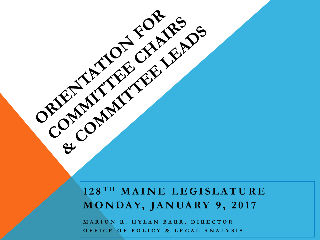### **1 2 8 T H M A I N E L E G I S L A T U R E M O N D A Y, J A N UA R Y 9 , 2 0 1 7**

**M A R I O N R . H Y L A N B A R R , D I R E C T O R O F F I C E O F P O L I C Y & L E G A L A N A L Y S I S** 

ORIENTALE FOR LEADS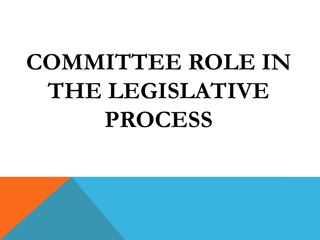# **COMMITTEE ROLE IN THE LEGISLATIVE PROCESS**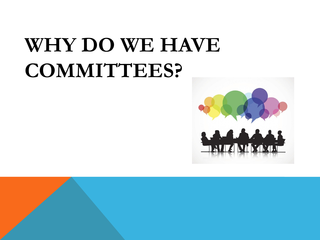## **WHY DO WE HAVE COMMITTEES?**

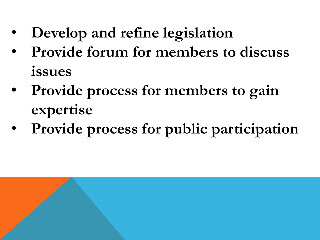- **Develop and refine legislation**
- **Provide forum for members to discuss issues**
- **Provide process for members to gain expertise**
- **Provide process for public participation**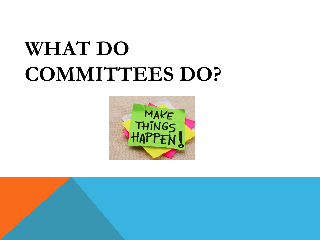## **WHAT DO COMMITTEES DO?**



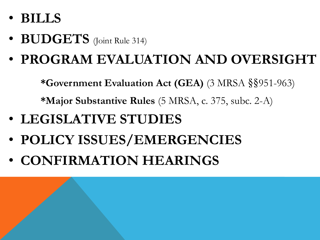- **BILLS**
- **BUDGETS** (Joint Rule 314)
- **PROGRAM EVALUATION AND OVERSIGHT**

**\*Government Evaluation Act (GEA)** (3 MRSA §§951-963)

**\*Major Substantive Rules** (5 MRSA, c. 375, subc. 2-A)

- **LEGISLATIVE STUDIES**
- **POLICY ISSUES/EMERGENCIES**
- **CONFIRMATION HEARINGS**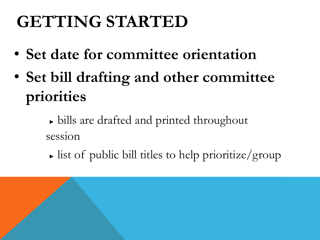## **GETTING STARTED**

- **Set date for committee orientation**
- **Set bill drafting and other committee priorities**
	- **►** bills are drafted and printed throughout session
	- **►** list of public bill titles to help prioritize/group

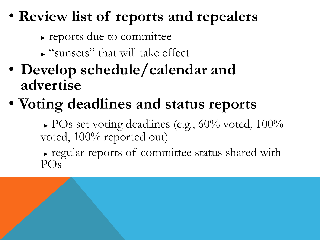### • **Review list of reports and repealers**

- **►** reports due to committee
- **►** "sunsets" that will take effect
- **Develop schedule/calendar and advertise**
- **Voting deadlines and status reports**

**►** POs set voting deadlines (e.g., 60% voted, 100% voted, 100% reported out)

**►** regular reports of committee status shared with POs

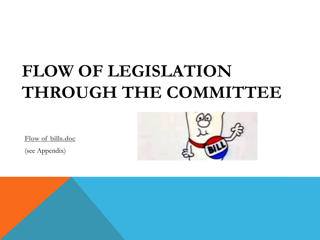### **FLOW OF LEGISLATION THROUGH THE COMMITTEE** Ξ

**<Flow of bills.doc>**

(see Appendix)

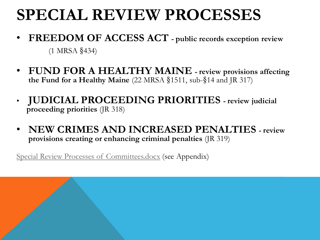### **SPECIAL REVIEW PROCESSES**

- **FREEDOM OF ACCESS ACT - public records exception review**  (1 MRSA §434)
- **FUND FOR A HEALTHY MAINE - review provisions affecting the Fund for a Healthy Maine** (22 MRSA §1511, sub-§14 and JR 317)
- **JUDICIAL PROCEEDING PRIORITIES - review judicial proceeding priorities** (JR 318)
- **NEW CRIMES AND INCREASED PENALTIES - review provisions creating or enhancing criminal penalties** (JR 319)

<Special Review Processes of Committees.docx> (see Appendix)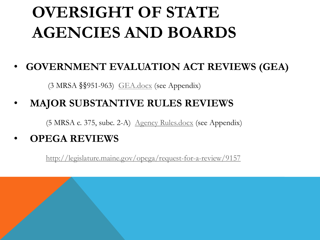## **OVERSIGHT OF STATE AGENCIES AND BOARDS**

### • **GOVERNMENT EVALUATION ACT REVIEWS (GEA)**

(3 MRSA §§951-963) <GEA.docx> (see Appendix)

### • **MAJOR SUBSTANTIVE RULES REVIEWS**

(5 MRSA c. 375, subc. 2-A) <Agency Rules.docx> (see Appendix)

### • **OPEGA REVIEWS**

<http://legislature.maine.gov/opega/request-for-a-review/9157>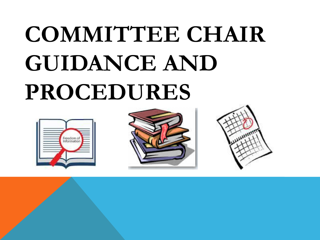# **COMMITTEE CHAIR GUIDANCE AND PROCEDURES**





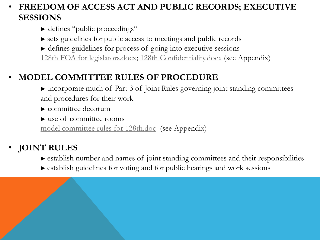### • **FREEDOM OF ACCESS ACT AND PUBLIC RECORDS; EXECUTIVE SESSIONS**

- ► defines "public proceedings"
- **►** sets guidelines for public access to meetings and public records
- **►** defines guidelines for process of going into executive sessions [128th FOA for legislators.docx;](128th FOA for legislators.docx) <128th Confidentiality.docx> (see Appendix)

### • **MODEL COMMITTEE RULES OF PROCEDURE**

**►** incorporate much of Part 3 of Joint Rules governing joint standing committees and procedures for their work

- **►** committee decorum
- **►** use of committee rooms

<model committee rules for 128th.doc>(see Appendix)

### • **JOINT RULES**

- ► establish number and names of joint standing committees and their responsibilities
- **►** establish guidelines for voting and for public hearings and work sessions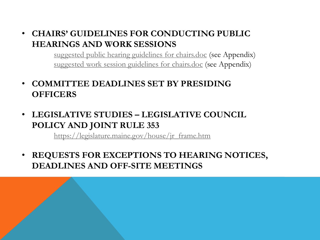#### • **CHAIRS' GUIDELINES FOR CONDUCTING PUBLIC HEARINGS AND WORK SESSIONS**

<suggested public hearing guidelines for chairs.doc> (see Appendix) <suggested work session guidelines for chairs.doc> (see Appendix)

- **COMMITTEE DEADLINES SET BY PRESIDING OFFICERS**
- **LEGISLATIVE STUDIES – LEGISLATIVE COUNCIL POLICY AND JOINT RULE 353**

[https://legislature.maine.gov/house/jr\\_frame.htm](https://legislature.maine.gov/house/jr_frame.htm)

• **REQUESTS FOR EXCEPTIONS TO HEARING NOTICES, DEADLINES AND OFF-SITE MEETINGS**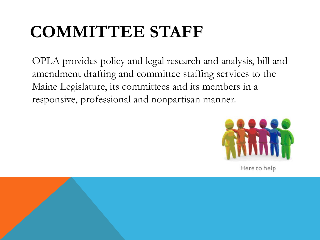## **COMMITTEE STAFF**

OPLA provides policy and legal research and analysis, bill and amendment drafting and committee staffing services to the Maine Legislature, its committees and its members in a responsive, professional and nonpartisan manner.



Here to help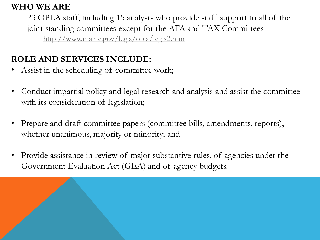#### **WHO WE ARE**

23 OPLA staff, including 15 analysts who provide staff support to all of the joint standing committees except for the AFA and TAX Committees <http://www.maine.gov/legis/opla/legis2.htm>

### **ROLE AND SERVICES INCLUDE:**

- Assist in the scheduling of committee work;
- Conduct impartial policy and legal research and analysis and assist the committee with its consideration of legislation;
- Prepare and draft committee papers (committee bills, amendments, reports), whether unanimous, majority or minority; and
- Provide assistance in review of major substantive rules, of agencies under the Government Evaluation Act (GEA) and of agency budgets.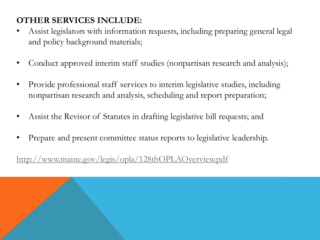### **OTHER SERVICES INCLUDE:**

- Assist legislators with information requests, including preparing general legal and policy background materials;
- Conduct approved interim staff studies (nonpartisan research and analysis);
- Provide professional staff services to interim legislative studies, including nonpartisan research and analysis, scheduling and report preparation;
- Assist the Revisor of Statutes in drafting legislative bill requests; and
- Prepare and present committee status reports to legislative leadership.

<http://www.maine.gov/legis/opla/128thOPLAOverview.pdf>